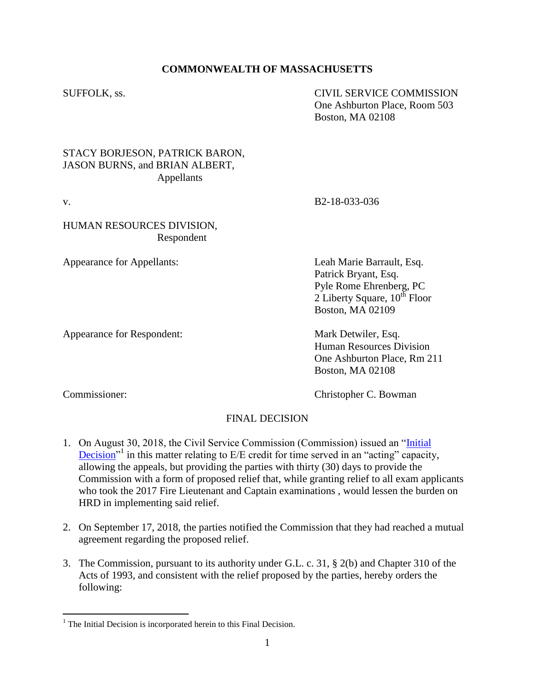## **COMMONWEALTH OF MASSACHUSETTS**

SUFFOLK, ss. CIVIL SERVICE COMMISSION One Ashburton Place, Room 503 Boston, MA 02108

## STACY BORJESON, PATRICK BARON, JASON BURNS, and BRIAN ALBERT, Appellants

## HUMAN RESOURCES DIVISION, Respondent

Appearance for Appellants: Leah Marie Barrault, Esq.

Appearance for Respondent: Mark Detwiler, Esq.

v. B2-18-033-036

Patrick Bryant, Esq. Pyle Rome Ehrenberg, PC  $2$  Liberty Square,  $10^{th}$  Floor Boston, MA 02109

Human Resources Division One Ashburton Place, Rm 211 Boston, MA 02108

 $\overline{a}$ 

Commissioner: Commissioner: Christopher C. Bowman

## FINAL DECISION

- 1. On August 30, 2018, the Civil Service Commission (Commission) issued an ["Initial](https://www.mass.gov/files/documents/2018/08/31/borjeson_etal_083018.pdf)  Decision<sup>"1</sup> in this matter relating to E/E credit for time served in an "acting" capacity, allowing the appeals, but providing the parties with thirty (30) days to provide the Commission with a form of proposed relief that, while granting relief to all exam applicants who took the 2017 Fire Lieutenant and Captain examinations , would lessen the burden on HRD in implementing said relief.
- 2. On September 17, 2018, the parties notified the Commission that they had reached a mutual agreement regarding the proposed relief.
- 3. The Commission, pursuant to its authority under G.L. c. 31, § 2(b) and Chapter 310 of the Acts of 1993, and consistent with the relief proposed by the parties, hereby orders the following:

 $<sup>1</sup>$  The Initial Decision is incorporated herein to this Final Decision.</sup>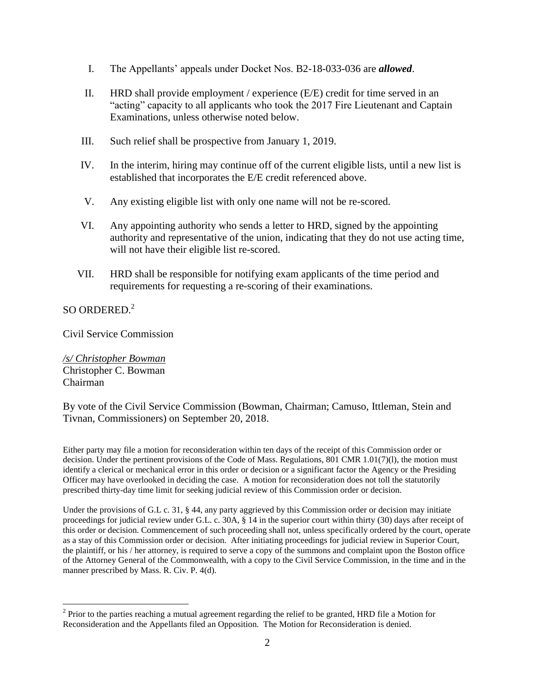- I. The Appellants' appeals under Docket Nos. B2-18-033-036 are *allowed*.
- II. HRD shall provide employment / experience (E/E) credit for time served in an "acting" capacity to all applicants who took the 2017 Fire Lieutenant and Captain Examinations, unless otherwise noted below.
- III. Such relief shall be prospective from January 1, 2019.
- IV. In the interim, hiring may continue off of the current eligible lists, until a new list is established that incorporates the E/E credit referenced above.
- V. Any existing eligible list with only one name will not be re-scored.
- VI. Any appointing authority who sends a letter to HRD, signed by the appointing authority and representative of the union, indicating that they do not use acting time, will not have their eligible list re-scored.
- VII. HRD shall be responsible for notifying exam applicants of the time period and requirements for requesting a re-scoring of their examinations.

 $SO$  ORDERED.<sup>2</sup>

 $\overline{a}$ 

Civil Service Commission

*/s/ Christopher Bowman* Christopher C. Bowman Chairman

By vote of the Civil Service Commission (Bowman, Chairman; Camuso, Ittleman, Stein and Tivnan, Commissioners) on September 20, 2018.

Either party may file a motion for reconsideration within ten days of the receipt of this Commission order or decision. Under the pertinent provisions of the Code of Mass. Regulations, 801 CMR 1.01(7)(l), the motion must identify a clerical or mechanical error in this order or decision or a significant factor the Agency or the Presiding Officer may have overlooked in deciding the case. A motion for reconsideration does not toll the statutorily prescribed thirty-day time limit for seeking judicial review of this Commission order or decision.

Under the provisions of G.L c. 31, § 44, any party aggrieved by this Commission order or decision may initiate proceedings for judicial review under G.L. c. 30A, § 14 in the superior court within thirty (30) days after receipt of this order or decision. Commencement of such proceeding shall not, unless specifically ordered by the court, operate as a stay of this Commission order or decision. After initiating proceedings for judicial review in Superior Court, the plaintiff, or his / her attorney, is required to serve a copy of the summons and complaint upon the Boston office of the Attorney General of the Commonwealth, with a copy to the Civil Service Commission, in the time and in the manner prescribed by Mass. R. Civ. P. 4(d).

 $2^2$  Prior to the parties reaching a mutual agreement regarding the relief to be granted, HRD file a Motion for Reconsideration and the Appellants filed an Opposition. The Motion for Reconsideration is denied.